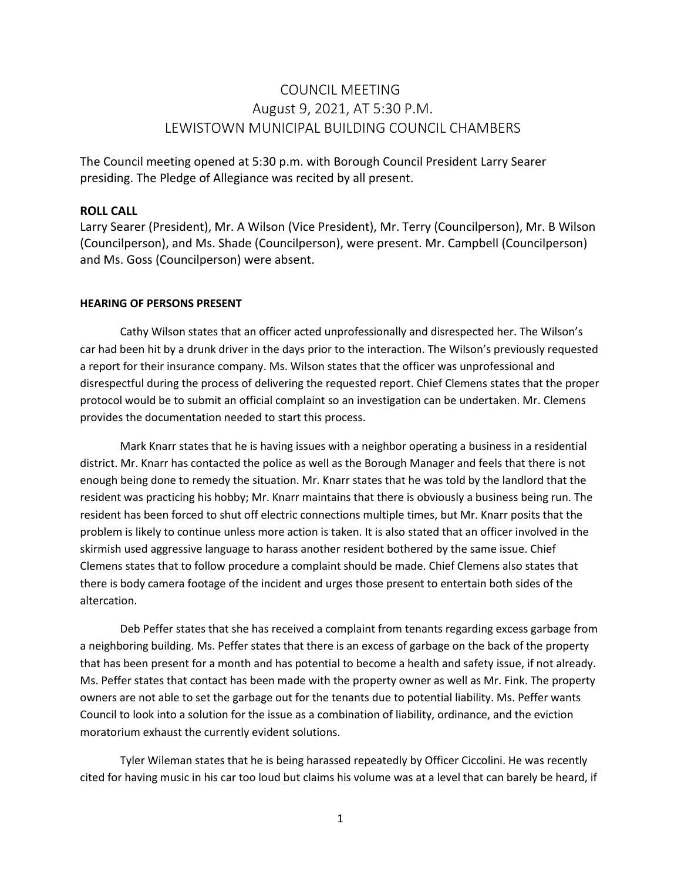# COUNCIL MEETING August 9, 2021, AT 5:30 P.M. LEWISTOWN MUNICIPAL BUILDING COUNCIL CHAMBERS

The Council meeting opened at 5:30 p.m. with Borough Council President Larry Searer presiding. The Pledge of Allegiance was recited by all present.

#### **ROLL CALL**

Larry Searer (President), Mr. A Wilson (Vice President), Mr. Terry (Councilperson), Mr. B Wilson (Councilperson), and Ms. Shade (Councilperson), were present. Mr. Campbell (Councilperson) and Ms. Goss (Councilperson) were absent.

#### **HEARING OF PERSONS PRESENT**

Cathy Wilson states that an officer acted unprofessionally and disrespected her. The Wilson's car had been hit by a drunk driver in the days prior to the interaction. The Wilson's previously requested a report for their insurance company. Ms. Wilson states that the officer was unprofessional and disrespectful during the process of delivering the requested report. Chief Clemens states that the proper protocol would be to submit an official complaint so an investigation can be undertaken. Mr. Clemens provides the documentation needed to start this process.

Mark Knarr states that he is having issues with a neighbor operating a business in a residential district. Mr. Knarr has contacted the police as well as the Borough Manager and feels that there is not enough being done to remedy the situation. Mr. Knarr states that he was told by the landlord that the resident was practicing his hobby; Mr. Knarr maintains that there is obviously a business being run. The resident has been forced to shut off electric connections multiple times, but Mr. Knarr posits that the problem is likely to continue unless more action is taken. It is also stated that an officer involved in the skirmish used aggressive language to harass another resident bothered by the same issue. Chief Clemens states that to follow procedure a complaint should be made. Chief Clemens also states that there is body camera footage of the incident and urges those present to entertain both sides of the altercation.

Deb Peffer states that she has received a complaint from tenants regarding excess garbage from a neighboring building. Ms. Peffer states that there is an excess of garbage on the back of the property that has been present for a month and has potential to become a health and safety issue, if not already. Ms. Peffer states that contact has been made with the property owner as well as Mr. Fink. The property owners are not able to set the garbage out for the tenants due to potential liability. Ms. Peffer wants Council to look into a solution for the issue as a combination of liability, ordinance, and the eviction moratorium exhaust the currently evident solutions.

Tyler Wileman states that he is being harassed repeatedly by Officer Ciccolini. He was recently cited for having music in his car too loud but claims his volume was at a level that can barely be heard, if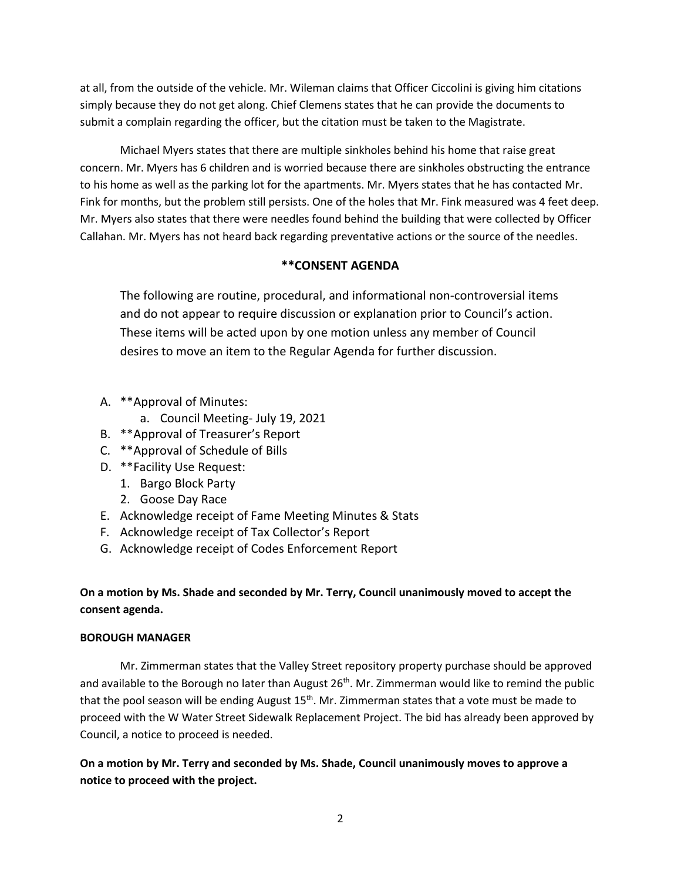at all, from the outside of the vehicle. Mr. Wileman claims that Officer Ciccolini is giving him citations simply because they do not get along. Chief Clemens states that he can provide the documents to submit a complain regarding the officer, but the citation must be taken to the Magistrate.

Michael Myers states that there are multiple sinkholes behind his home that raise great concern. Mr. Myers has 6 children and is worried because there are sinkholes obstructing the entrance to his home as well as the parking lot for the apartments. Mr. Myers states that he has contacted Mr. Fink for months, but the problem still persists. One of the holes that Mr. Fink measured was 4 feet deep. Mr. Myers also states that there were needles found behind the building that were collected by Officer Callahan. Mr. Myers has not heard back regarding preventative actions or the source of the needles.

## **\*\*CONSENT AGENDA**

The following are routine, procedural, and informational non-controversial items and do not appear to require discussion or explanation prior to Council's action. These items will be acted upon by one motion unless any member of Council desires to move an item to the Regular Agenda for further discussion.

- A. \*\*Approval of Minutes:
	- a. Council Meeting- July 19, 2021
- B. \*\*Approval of Treasurer's Report
- C. \*\*Approval of Schedule of Bills
- D. \*\*Facility Use Request:
	- 1. Bargo Block Party
	- 2. Goose Day Race
- E. Acknowledge receipt of Fame Meeting Minutes & Stats
- F. Acknowledge receipt of Tax Collector's Report
- G. Acknowledge receipt of Codes Enforcement Report

# **On a motion by Ms. Shade and seconded by Mr. Terry, Council unanimously moved to accept the consent agenda.**

## **BOROUGH MANAGER**

Mr. Zimmerman states that the Valley Street repository property purchase should be approved and available to the Borough no later than August  $26<sup>th</sup>$ . Mr. Zimmerman would like to remind the public that the pool season will be ending August  $15<sup>th</sup>$ . Mr. Zimmerman states that a vote must be made to proceed with the W Water Street Sidewalk Replacement Project. The bid has already been approved by Council, a notice to proceed is needed.

**On a motion by Mr. Terry and seconded by Ms. Shade, Council unanimously moves to approve a notice to proceed with the project.**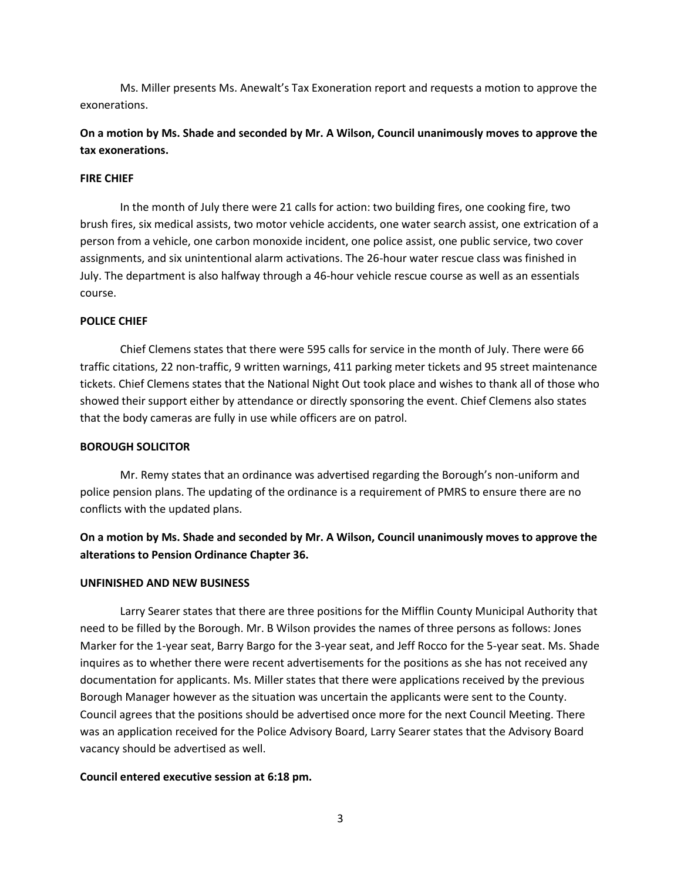Ms. Miller presents Ms. Anewalt's Tax Exoneration report and requests a motion to approve the exonerations.

# **On a motion by Ms. Shade and seconded by Mr. A Wilson, Council unanimously moves to approve the tax exonerations.**

#### **FIRE CHIEF**

In the month of July there were 21 calls for action: two building fires, one cooking fire, two brush fires, six medical assists, two motor vehicle accidents, one water search assist, one extrication of a person from a vehicle, one carbon monoxide incident, one police assist, one public service, two cover assignments, and six unintentional alarm activations. The 26-hour water rescue class was finished in July. The department is also halfway through a 46-hour vehicle rescue course as well as an essentials course.

#### **POLICE CHIEF**

Chief Clemens states that there were 595 calls for service in the month of July. There were 66 traffic citations, 22 non-traffic, 9 written warnings, 411 parking meter tickets and 95 street maintenance tickets. Chief Clemens states that the National Night Out took place and wishes to thank all of those who showed their support either by attendance or directly sponsoring the event. Chief Clemens also states that the body cameras are fully in use while officers are on patrol.

#### **BOROUGH SOLICITOR**

Mr. Remy states that an ordinance was advertised regarding the Borough's non-uniform and police pension plans. The updating of the ordinance is a requirement of PMRS to ensure there are no conflicts with the updated plans.

# **On a motion by Ms. Shade and seconded by Mr. A Wilson, Council unanimously moves to approve the alterations to Pension Ordinance Chapter 36.**

#### **UNFINISHED AND NEW BUSINESS**

Larry Searer states that there are three positions for the Mifflin County Municipal Authority that need to be filled by the Borough. Mr. B Wilson provides the names of three persons as follows: Jones Marker for the 1-year seat, Barry Bargo for the 3-year seat, and Jeff Rocco for the 5-year seat. Ms. Shade inquires as to whether there were recent advertisements for the positions as she has not received any documentation for applicants. Ms. Miller states that there were applications received by the previous Borough Manager however as the situation was uncertain the applicants were sent to the County. Council agrees that the positions should be advertised once more for the next Council Meeting. There was an application received for the Police Advisory Board, Larry Searer states that the Advisory Board vacancy should be advertised as well.

#### **Council entered executive session at 6:18 pm.**